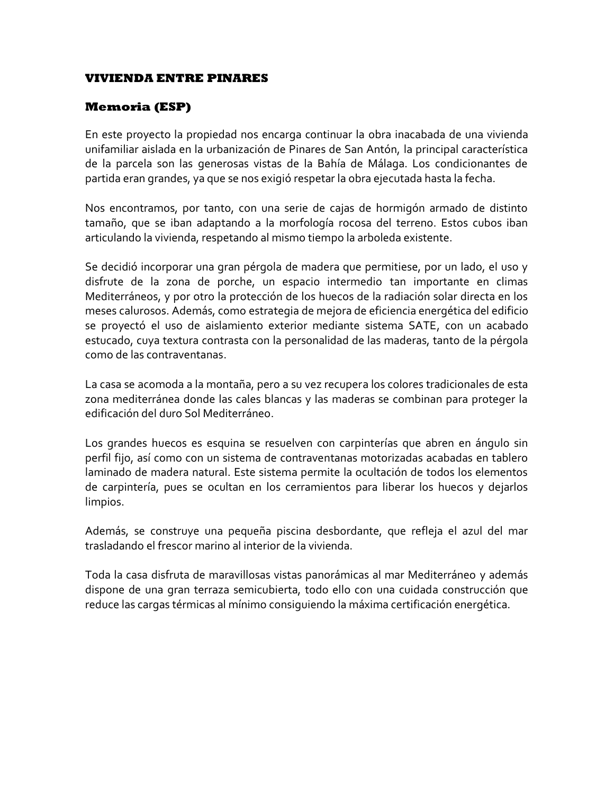## **VIVIENDA ENTRE PINARES**

## **Memoria (ESP)**

En este proyecto la propiedad nos encarga continuar la obra inacabada de una vivienda unifamiliar aislada en la urbanización de Pinares de San Antón, la principal característica de la parcela son las generosas vistas de la Bahía de Málaga. Los condicionantes de partida eran grandes, ya que se nos exigió respetar la obra ejecutada hasta la fecha.

Nos encontramos, por tanto, con una serie de cajas de hormigón armado de distinto tamaño, que se iban adaptando a la morfología rocosa del terreno. Estos cubos iban articulando la vivienda, respetando al mismo tiempo la arboleda existente.

Se decidió incorporar una gran pérgola de madera que permitiese, por un lado, el uso y disfrute de la zona de porche, un espacio intermedio tan importante en climas Mediterráneos, y por otro la protección de los huecos de la radiación solar directa en los meses calurosos. Además, como estrategia de mejora de eficiencia energética del edificio se proyectó el uso de aislamiento exterior mediante sistema SATE, con un acabado estucado, cuya textura contrasta con la personalidad de las maderas, tanto de la pérgola como de las contraventanas.

La casa se acomoda a la montaña, pero a su vez recupera los colores tradicionales de esta zona mediterránea donde las cales blancas y las maderas se combinan para proteger la edificación del duro Sol Mediterráneo.

Los grandes huecos es esquina se resuelven con carpinterías que abren en ángulo sin perfil fijo, así como con un sistema de contraventanas motorizadas acabadas en tablero laminado de madera natural. Este sistema permite la ocultación de todos los elementos de carpintería, pues se ocultan en los cerramientos para liberar los huecos y dejarlos limpios.

Además, se construye una pequeña piscina desbordante, que refleja el azul del mar trasladando el frescor marino al interior de la vivienda.

Toda la casa disfruta de maravillosas vistas panorámicas al mar Mediterráneo y además dispone de una gran terraza semicubierta, todo ello con una cuidada construcción que reduce las cargas térmicas al mínimo consiguiendo la máxima certificación energética.